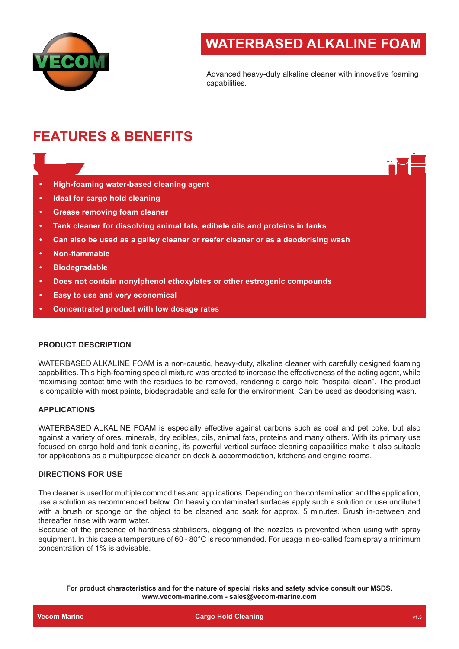

# **WATERBASED ALKALINE FOAM**

Advanced heavy-duty alkaline cleaner with innovative foaming capabilities.

# **FEATURES & BENEFITS**

- **• High-foaming water-based cleaning agent**
- **• Ideal for cargo hold cleaning**
- **• Grease removing foam cleaner**
- **• Tank cleaner for dissolving animal fats, edibele oils and proteins in tanks**
- **• Can also be used as a galley cleaner or reefer cleaner or as a deodorising wash**
- **• Non-flammable**
- **• Biodegradable**
- **• Does not contain nonylphenol ethoxylates or other estrogenic compounds**
- **• Easy to use and very economical**
- **• Concentrated product with low dosage rates**

## **PRODUCT DESCRIPTION**

WATERBASED ALKALINE FOAM is a non-caustic, heavy-duty, alkaline cleaner with carefully designed foaming capabilities. This high-foaming special mixture was created to increase the effectiveness of the acting agent, while maximising contact time with the residues to be removed, rendering a cargo hold "hospital clean". The product is compatible with most paints, biodegradable and safe for the environment. Can be used as deodorising wash.

# **APPLICATIONS**

WATERBASED ALKALINE FOAM is especially effective against carbons such as coal and pet coke, but also against a variety of ores, minerals, dry edibles, oils, animal fats, proteins and many others. With its primary use focused on cargo hold and tank cleaning, its powerful vertical surface cleaning capabilities make it also suitable for applications as a multipurpose cleaner on deck & accommodation, kitchens and engine rooms.

#### **DIRECTIONS FOR USE**

The cleaner is used for multiple commodities and applications. Depending on the contamination and the application, use a solution as recommended below. On heavily contaminated surfaces apply such a solution or use undiluted with a brush or sponge on the object to be cleaned and soak for approx. 5 minutes. Brush in-between and thereafter rinse with warm water.

Because of the presence of hardness stabilisers, clogging of the nozzles is prevented when using with spray equipment. In this case a temperature of 60 - 80°C is recommended. For usage in so-called foam spray a minimum concentration of 1% is advisable.

**For product characteristics and for the nature of special risks and safety advice consult our MSDS. www.vecom-marine.com - sales@vecom-marine.com**